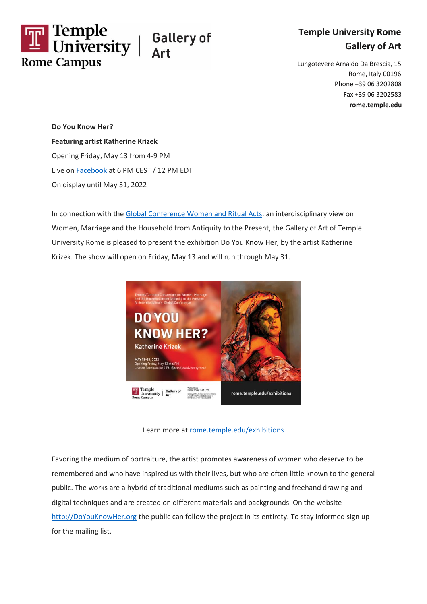



Lungotevere Arnaldo Da Brescia, 15 Rome, Italy 00196 Phone +39 06 3202808 Fax +39 06 3202583 **rome.temple.edu**

**Do You Know Her? Featuring artist Katherine Krizek** Opening Friday, May 13 from 4-9 PM Live on [Facebook](https://www.facebook.com/templeuniversityrome) at 6 PM CEST / 12 PM EDT On display until May 31, 2022

In connection with the [Global Conference Women and Ritual Acts,](https://rome.temple.edu/women-ritual-acts) an interdisciplinary view on Women, Marriage and the Household from Antiquity to the Present, the Gallery of Art of Temple University Rome is pleased to present the exhibition Do You Know Her, by the artist Katherine Krizek. The show will open on Friday, May 13 and will run through May 31.



Learn more at [rome.temple.edu/exhibitions](http://rome.temple.edu/exhibitions)

Favoring the medium of portraiture, the artist promotes awareness of women who deserve to be remembered and who have inspired us with their lives, but who are often little known to the general public. The works are a hybrid of traditional mediums such as painting and freehand drawing and digital techniques and are created on different materials and backgrounds. On the website [http://DoYouKnowHer.org](http://doyouknowher.org/) the public can follow the project in its entirety. To stay informed sign up for the mailing list.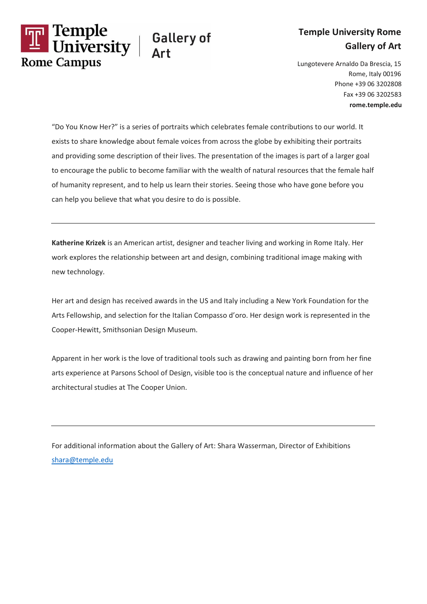

## **Temple University Rome Gallery of Art**

Lungotevere Arnaldo Da Brescia, 15 Rome, Italy 00196 Phone +39 06 3202808 Fax +39 06 3202583 **rome.temple.edu**

"Do You Know Her?" is a series of portraits which celebrates female contributions to our world. It exists to share knowledge about female voices from across the globe by exhibiting their portraits and providing some description of their lives. The presentation of the images is part of a larger goal to encourage the public to become familiar with the wealth of natural resources that the female half of humanity represent, and to help us learn their stories. Seeing those who have gone before you can help you believe that what you desire to do is possible.

**Katherine Krizek** is an American artist, designer and teacher living and working in Rome Italy. Her work explores the relationship between art and design, combining traditional image making with new technology.

Her art and design has received awards in the US and Italy including a New York Foundation for the Arts Fellowship, and selection for the Italian Compasso d'oro. Her design work is represented in the Cooper-Hewitt, Smithsonian Design Museum.

Apparent in her work is the love of traditional tools such as drawing and painting born from her fine arts experience at Parsons School of Design, visible too is the conceptual nature and influence of her architectural studies at The Cooper Union.

For additional information about the Gallery of Art: Shara Wasserman, Director of Exhibitions [shara@temple.edu](mailto:shara@temple.edu)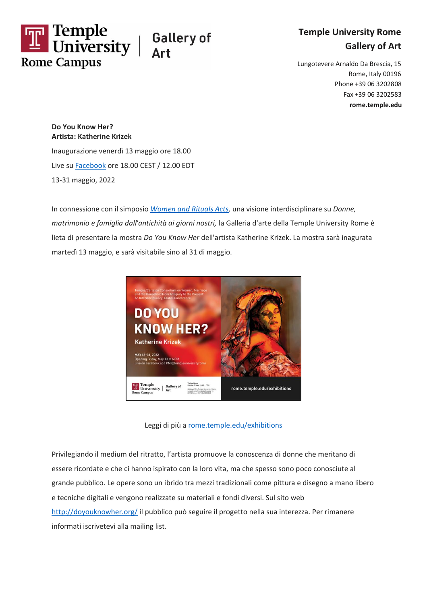

**Temple University Rome Gallery of Art**

Lungotevere Arnaldo Da Brescia, 15 Rome, Italy 00196 Phone +39 06 3202808 Fax +39 06 3202583 **rome.temple.edu**

## **Do You Know Her? Artista: Katherine Krizek**

Inaugurazione venerdì 13 maggio ore 18.00 Live s[u Facebook](https://www.facebook.com/templeuniversityrome) ore 18.00 CEST / 12.00 EDT 13-31 maggio, 2022

In connessione con il simposio *[Women and Rituals Acts,](https://rome.temple.edu/women-ritual-acts)* una visione interdisciplinare su *Donne, matrimonio e famiglia dall'antichità ai giorni nostri,* la Galleria d'arte della Temple University Rome è lieta di presentare la mostra *Do You Know Her* dell'artista Katherine Krizek. La mostra sarà inagurata martedì 13 maggio, e sarà visitabile sino al 31 di maggio.



Leggi di più a [rome.temple.edu/exhibitions](http://rome.temple.edu/exhibitions)

Privilegiando il medium del ritratto, l'artista promuove la conoscenza di donne che meritano di essere ricordate e che ci hanno ispirato con la loro vita, ma che spesso sono poco conosciute al grande pubblico. Le opere sono un ibrido tra mezzi tradizionali come pittura e disegno a mano libero e tecniche digitali e vengono realizzate su materiali e fondi diversi. Sul sito web <http://doyouknowher.org/> il pubblico può seguire il progetto nella sua interezza. Per rimanere informati iscrivetevi alla mailing list.